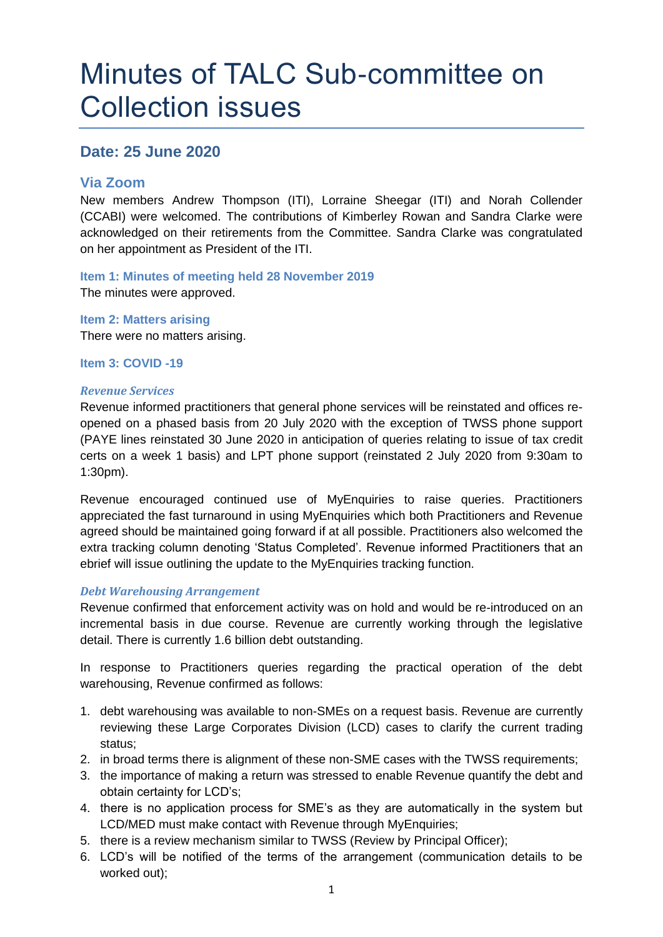# Minutes of TALC Sub-committee on Collection issues

# **Date: 25 June 2020**

# **Via Zoom**

New members Andrew Thompson (ITI), Lorraine Sheegar (ITI) and Norah Collender (CCABI) were welcomed. The contributions of Kimberley Rowan and Sandra Clarke were acknowledged on their retirements from the Committee. Sandra Clarke was congratulated on her appointment as President of the ITI.

**Item 1: Minutes of meeting held 28 November 2019** The minutes were approved.

**Item 2: Matters arising** There were no matters arising.

**Item 3: COVID -19**

## *Revenue Services*

Revenue informed practitioners that general phone services will be reinstated and offices reopened on a phased basis from 20 July 2020 with the exception of TWSS phone support (PAYE lines reinstated 30 June 2020 in anticipation of queries relating to issue of tax credit certs on a week 1 basis) and LPT phone support (reinstated 2 July 2020 from 9:30am to 1:30pm).

Revenue encouraged continued use of MyEnquiries to raise queries. Practitioners appreciated the fast turnaround in using MyEnquiries which both Practitioners and Revenue agreed should be maintained going forward if at all possible. Practitioners also welcomed the extra tracking column denoting 'Status Completed'. Revenue informed Practitioners that an ebrief will issue outlining the update to the MyEnquiries tracking function.

# *Debt Warehousing Arrangement*

Revenue confirmed that enforcement activity was on hold and would be re-introduced on an incremental basis in due course. Revenue are currently working through the legislative detail. There is currently 1.6 billion debt outstanding.

In response to Practitioners queries regarding the practical operation of the debt warehousing, Revenue confirmed as follows:

- 1. debt warehousing was available to non-SMEs on a request basis. Revenue are currently reviewing these Large Corporates Division (LCD) cases to clarify the current trading status;
- 2. in broad terms there is alignment of these non-SME cases with the TWSS requirements;
- 3. the importance of making a return was stressed to enable Revenue quantify the debt and obtain certainty for LCD's;
- 4. there is no application process for SME's as they are automatically in the system but LCD/MED must make contact with Revenue through MyEnquiries;
- 5. there is a review mechanism similar to TWSS (Review by Principal Officer);
- 6. LCD's will be notified of the terms of the arrangement (communication details to be worked out);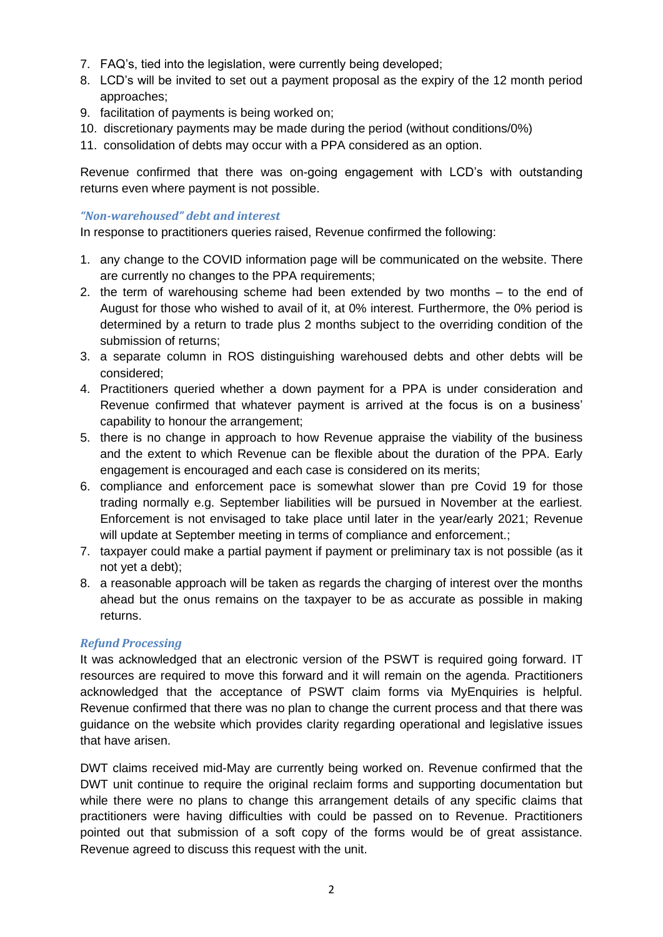- 7. FAQ's, tied into the legislation, were currently being developed;
- 8. LCD's will be invited to set out a payment proposal as the expiry of the 12 month period approaches;
- 9. facilitation of payments is being worked on;
- 10. discretionary payments may be made during the period (without conditions/0%)
- 11. consolidation of debts may occur with a PPA considered as an option.

Revenue confirmed that there was on-going engagement with LCD's with outstanding returns even where payment is not possible.

## *"Non-warehoused" debt and interest*

In response to practitioners queries raised, Revenue confirmed the following:

- 1. any change to the COVID information page will be communicated on the website. There are currently no changes to the PPA requirements;
- 2. the term of warehousing scheme had been extended by two months to the end of August for those who wished to avail of it, at 0% interest. Furthermore, the 0% period is determined by a return to trade plus 2 months subject to the overriding condition of the submission of returns;
- 3. a separate column in ROS distinguishing warehoused debts and other debts will be considered;
- 4. Practitioners queried whether a down payment for a PPA is under consideration and Revenue confirmed that whatever payment is arrived at the focus is on a business' capability to honour the arrangement;
- 5. there is no change in approach to how Revenue appraise the viability of the business and the extent to which Revenue can be flexible about the duration of the PPA. Early engagement is encouraged and each case is considered on its merits;
- 6. compliance and enforcement pace is somewhat slower than pre Covid 19 for those trading normally e.g. September liabilities will be pursued in November at the earliest. Enforcement is not envisaged to take place until later in the year/early 2021; Revenue will update at September meeting in terms of compliance and enforcement.;
- 7. taxpayer could make a partial payment if payment or preliminary tax is not possible (as it not yet a debt);
- 8. a reasonable approach will be taken as regards the charging of interest over the months ahead but the onus remains on the taxpayer to be as accurate as possible in making returns.

# *Refund Processing*

It was acknowledged that an electronic version of the PSWT is required going forward. IT resources are required to move this forward and it will remain on the agenda. Practitioners acknowledged that the acceptance of PSWT claim forms via MyEnquiries is helpful. Revenue confirmed that there was no plan to change the current process and that there was guidance on the website which provides clarity regarding operational and legislative issues that have arisen.

DWT claims received mid-May are currently being worked on. Revenue confirmed that the DWT unit continue to require the original reclaim forms and supporting documentation but while there were no plans to change this arrangement details of any specific claims that practitioners were having difficulties with could be passed on to Revenue. Practitioners pointed out that submission of a soft copy of the forms would be of great assistance. Revenue agreed to discuss this request with the unit.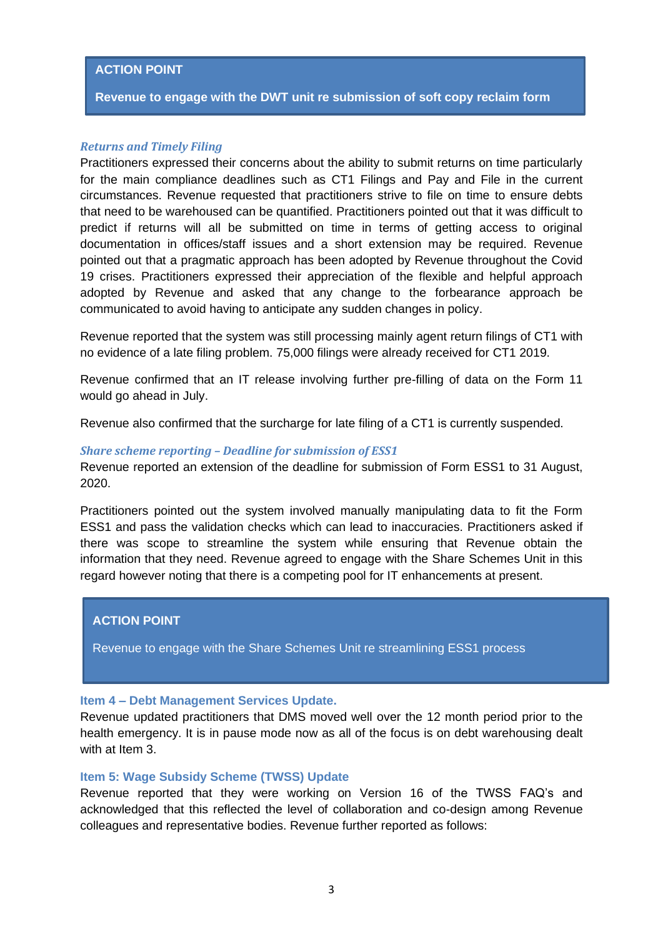## **ACTION POINT**

**Revenue to engage with the DWT unit re submission of soft copy reclaim form**

#### *Returns and Timely Filing*

Practitioners expressed their concerns about the ability to submit returns on time particularly for the main compliance deadlines such as CT1 Filings and Pay and File in the current circumstances. Revenue requested that practitioners strive to file on time to ensure debts that need to be warehoused can be quantified. Practitioners pointed out that it was difficult to predict if returns will all be submitted on time in terms of getting access to original documentation in offices/staff issues and a short extension may be required. Revenue pointed out that a pragmatic approach has been adopted by Revenue throughout the Covid 19 crises. Practitioners expressed their appreciation of the flexible and helpful approach adopted by Revenue and asked that any change to the forbearance approach be communicated to avoid having to anticipate any sudden changes in policy.

Revenue reported that the system was still processing mainly agent return filings of CT1 with no evidence of a late filing problem. 75,000 filings were already received for CT1 2019.

Revenue confirmed that an IT release involving further pre-filling of data on the Form 11 would go ahead in July.

Revenue also confirmed that the surcharge for late filing of a CT1 is currently suspended.

#### *Share scheme reporting – Deadline for submission of ESS1*

Revenue reported an extension of the deadline for submission of Form ESS1 to 31 August, 2020.

Practitioners pointed out the system involved manually manipulating data to fit the Form ESS1 and pass the validation checks which can lead to inaccuracies. Practitioners asked if there was scope to streamline the system while ensuring that Revenue obtain the information that they need. Revenue agreed to engage with the Share Schemes Unit in this regard however noting that there is a competing pool for IT enhancements at present.

# **ACTION POINT**

Revenue to engage with the Share Schemes Unit re streamlining ESS1 process

## **Item 4 – Debt Management Services Update.**

Revenue updated practitioners that DMS moved well over the 12 month period prior to the health emergency. It is in pause mode now as all of the focus is on debt warehousing dealt with at Item 3.

#### **Item 5: Wage Subsidy Scheme (TWSS) Update**

Revenue reported that they were working on Version 16 of the TWSS FAQ's and acknowledged that this reflected the level of collaboration and co-design among Revenue colleagues and representative bodies. Revenue further reported as follows: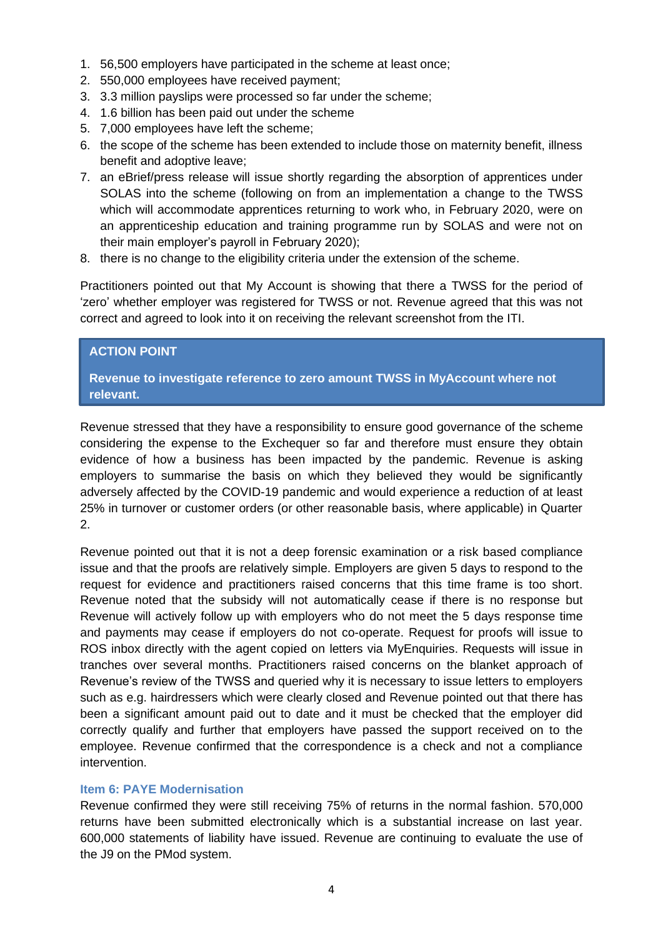- 1. 56,500 employers have participated in the scheme at least once;
- 2. 550,000 employees have received payment;
- 3. 3.3 million payslips were processed so far under the scheme;
- 4. 1.6 billion has been paid out under the scheme
- 5. 7,000 employees have left the scheme;
- 6. the scope of the scheme has been extended to include those on maternity benefit, illness benefit and adoptive leave;
- 7. an eBrief/press release will issue shortly regarding the absorption of apprentices under SOLAS into the scheme (following on from an implementation a change to the TWSS which will accommodate apprentices returning to work who, in February 2020, were on an apprenticeship education and training programme run by SOLAS and were not on their main employer's payroll in February 2020);
- 8. there is no change to the eligibility criteria under the extension of the scheme.

Practitioners pointed out that My Account is showing that there a TWSS for the period of 'zero' whether employer was registered for TWSS or not. Revenue agreed that this was not correct and agreed to look into it on receiving the relevant screenshot from the ITI.

## **ACTION POINT**

**Revenue to investigate reference to zero amount TWSS in MyAccount where not relevant.**

Revenue stressed that they have a responsibility to ensure good governance of the scheme considering the expense to the Exchequer so far and therefore must ensure they obtain evidence of how a business has been impacted by the pandemic. Revenue is asking employers to summarise the basis on which they believed they would be significantly adversely affected by the COVID-19 pandemic and would experience a reduction of at least 25% in turnover or customer orders (or other reasonable basis, where applicable) in Quarter 2.

Revenue pointed out that it is not a deep forensic examination or a risk based compliance issue and that the proofs are relatively simple. Employers are given 5 days to respond to the request for evidence and practitioners raised concerns that this time frame is too short. Revenue noted that the subsidy will not automatically cease if there is no response but Revenue will actively follow up with employers who do not meet the 5 days response time and payments may cease if employers do not co-operate. Request for proofs will issue to ROS inbox directly with the agent copied on letters via MyEnquiries. Requests will issue in tranches over several months. Practitioners raised concerns on the blanket approach of Revenue's review of the TWSS and queried why it is necessary to issue letters to employers such as e.g. hairdressers which were clearly closed and Revenue pointed out that there has been a significant amount paid out to date and it must be checked that the employer did correctly qualify and further that employers have passed the support received on to the employee. Revenue confirmed that the correspondence is a check and not a compliance intervention.

#### **Item 6: PAYE Modernisation**

Revenue confirmed they were still receiving 75% of returns in the normal fashion. 570,000 returns have been submitted electronically which is a substantial increase on last year. 600,000 statements of liability have issued. Revenue are continuing to evaluate the use of the J9 on the PMod system.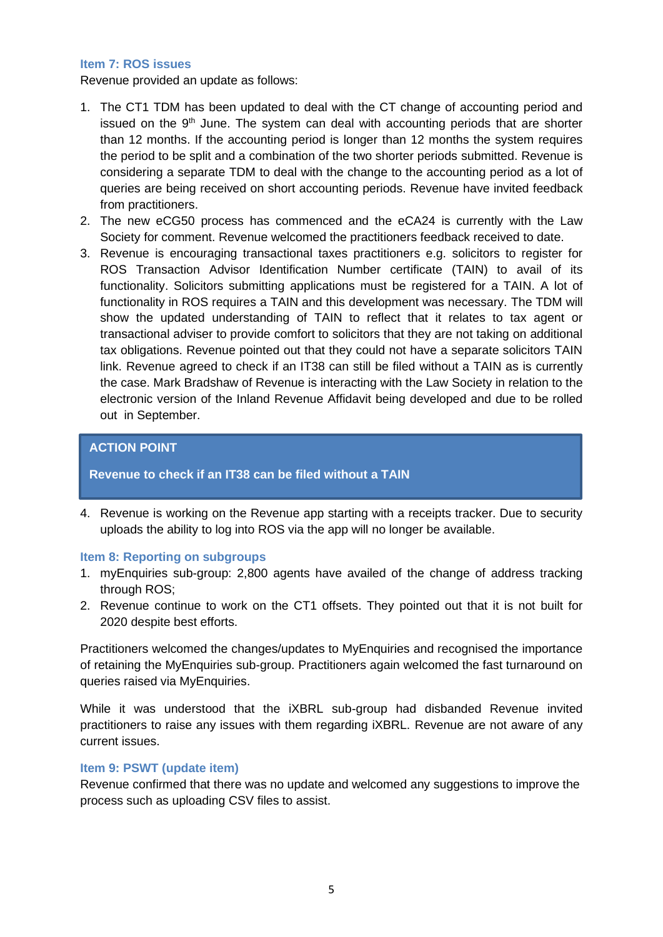#### **Item 7: ROS issues**

Revenue provided an update as follows:

- 1. The CT1 TDM has been updated to deal with the CT change of accounting period and issued on the  $9<sup>th</sup>$  June. The system can deal with accounting periods that are shorter than 12 months. If the accounting period is longer than 12 months the system requires the period to be split and a combination of the two shorter periods submitted. Revenue is considering a separate TDM to deal with the change to the accounting period as a lot of queries are being received on short accounting periods. Revenue have invited feedback from practitioners.
- 2. The new eCG50 process has commenced and the eCA24 is currently with the Law Society for comment. Revenue welcomed the practitioners feedback received to date.
- 3. Revenue is encouraging transactional taxes practitioners e.g. solicitors to register for ROS Transaction Advisor Identification Number certificate (TAIN) to avail of its functionality. Solicitors submitting applications must be registered for a TAIN. A lot of functionality in ROS requires a TAIN and this development was necessary. The TDM will show the updated understanding of TAIN to reflect that it relates to tax agent or transactional adviser to provide comfort to solicitors that they are not taking on additional tax obligations. Revenue pointed out that they could not have a separate solicitors TAIN link. Revenue agreed to check if an IT38 can still be filed without a TAIN as is currently the case. Mark Bradshaw of Revenue is interacting with the Law Society in relation to the electronic version of the Inland Revenue Affidavit being developed and due to be rolled out in September.

# **ACTION POINT**

**Revenue to check if an IT38 can be filed without a TAIN**

4. Revenue is working on the Revenue app starting with a receipts tracker. Due to security uploads the ability to log into ROS via the app will no longer be available.

# **Item 8: Reporting on subgroups**

- 1. myEnquiries sub-group: 2,800 agents have availed of the change of address tracking through ROS:
- 2. Revenue continue to work on the CT1 offsets. They pointed out that it is not built for 2020 despite best efforts.

Practitioners welcomed the changes/updates to MyEnquiries and recognised the importance of retaining the MyEnquiries sub-group. Practitioners again welcomed the fast turnaround on queries raised via MyEnquiries.

While it was understood that the iXBRL sub-group had disbanded Revenue invited practitioners to raise any issues with them regarding iXBRL. Revenue are not aware of any current issues.

# **Item 9: PSWT (update item)**

Revenue confirmed that there was no update and welcomed any suggestions to improve the process such as uploading CSV files to assist.